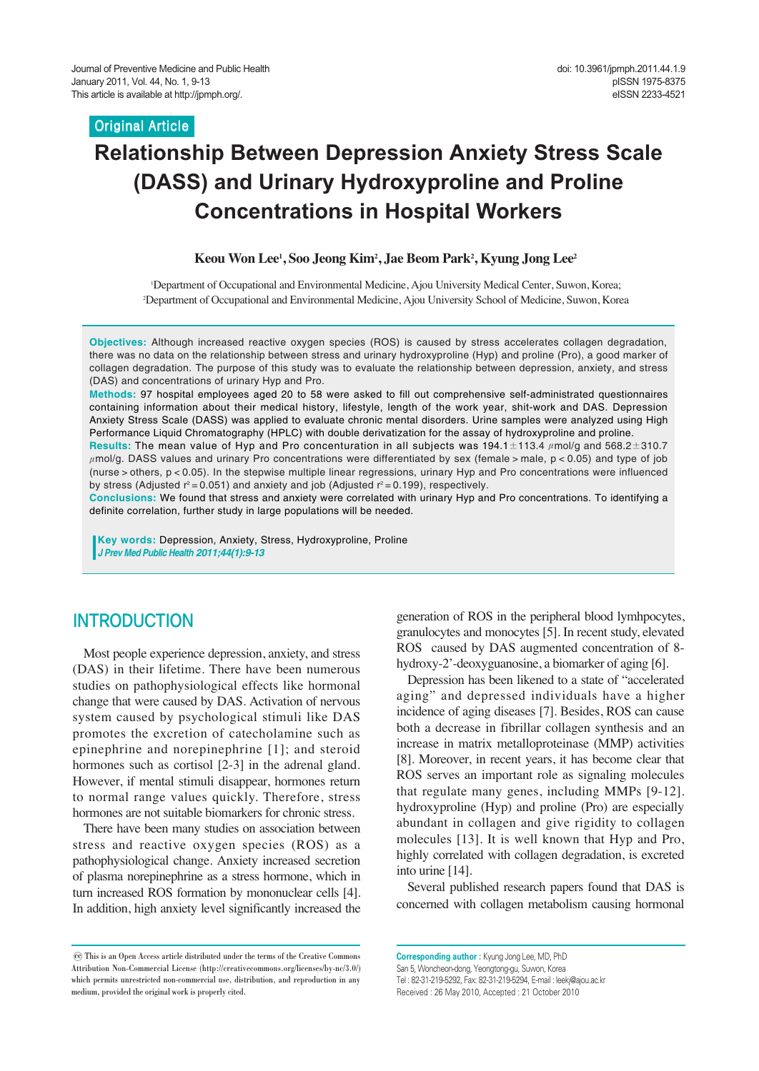Original Article

# **Relationship Between Depression Anxiety Stress Scale (DASS) and Urinary Hydroxyproline and Proline Concentrations in Hospital Workers**

#### **Keou Won Lee1 , Soo Jeong Kim2 , Jae Beom Park2 , Kyung Jong Lee2**

1 Department of Occupational and Environmental Medicine, Ajou University Medical Center, Suwon, Korea; 2 Department of Occupational and Environmental Medicine, Ajou University School of Medicine, Suwon, Korea

**Objectives:** Although increased reactive oxygen species (ROS) is caused by stress accelerates collagen degradation, there was no data on the relationship between stress and urinary hydroxyproline (Hyp) and proline (Pro), a good marker of collagen degradation. The purpose of this study was to evaluate the relationship between depression, anxiety, and stress (DAS) and concentrations of urinary Hyp and Pro.

**Methods:** 97 hospital employees aged 20 to 58 were asked to fill out comprehensive self-administrated questionnaires containing information about their medical history, lifestyle, length of the work year, shit-work and DAS. Depression Anxiety Stress Scale (DASS) was applied to evaluate chronic mental disorders. Urine samples were analyzed using High Performance Liquid Chromatography (HPLC) with double derivatization for the assay of hydroxyproline and proline.

**Results:** The mean value of Hyp and Pro concenturation in all subjects was 194.1±113.4 μmol/g and 568.2±310.7  $\mu$ mol/g. DASS values and urinary Pro concentrations were differentiated by sex (female > male,  $p < 0.05$ ) and type of job (nurse > others, p < 0.05). In the stepwise multiple linear regressions, urinary Hyp and Pro concentrations were influenced by stress (Adjusted  $r^2 = 0.051$ ) and anxiety and job (Adjusted  $r^2 = 0.199$ ), respectively.

**Conclusions:** We found that stress and anxiety were correlated with urinary Hyp and Pro concentrations. To identifying a definite correlation, further study in large populations will be needed.

**Key words:** Depression, Anxiety, Stress, Hydroxyproline, Proline *J Prev Med Public Health 2011;44(1):9-13*

# INTRODUCTION

Most people experience depression, anxiety, and stress (DAS) in their lifetime. There have been numerous studies on pathophysiological effects like hormonal change that were caused by DAS. Activation of nervous system caused by psychological stimuli like DAS promotes the excretion of catecholamine such as epinephrine and norepinephrine [1]; and steroid hormones such as cortisol [2-3] in the adrenal gland. However, if mental stimuli disappear, hormones return to normal range values quickly. Therefore, stress hormones are not suitable biomarkers for chronic stress.

There have been many studies on association between stress and reactive oxygen species (ROS) as a pathophysiological change. Anxiety increased secretion of plasma norepinephrine as a stress hormone, which in turn increased ROS formation by mononuclear cells [4]. In addition, high anxiety level significantly increased the

generation of ROS in the peripheral blood lymhpocytes, granulocytes and monocytes [5]. In recent study, elevated ROS caused by DAS augmented concentration of 8 hydroxy-2'-deoxyguanosine, a biomarker of aging [6].

Depression has been likened to a state of "accelerated aging" and depressed individuals have a higher incidence of aging diseases [7]. Besides, ROS can cause both a decrease in fibrillar collagen synthesis and an increase in matrix metalloproteinase (MMP) activities [8]. Moreover, in recent years, it has become clear that ROS serves an important role as signaling molecules that regulate many genes, including MMPs [9-12]. hydroxyproline (Hyp) and proline (Pro) are especially abundant in collagen and give rigidity to collagen molecules [13]. It is well known that Hyp and Pro, highly correlated with collagen degradation, is excreted into urine [14].

Several published research papers found that DAS is concerned with collagen metabolism causing hormonal

**Corresponding author :** Kyung Jong Lee, MD, PhD San 5, Woncheon-dong, Yeongtong-gu, Suwon, Korea Tel : 82-31-219-5292, Fax: 82-31-219-5294, E-mail : leekj@ajou.ac.kr Received : 26 May 2010, Accepted : 21 October 2010

 $\rm{co}$  This is an Open Access article distributed under the terms of the Creative Commons Attribution Non-Commercial License (http://creativecommons.org/licenses/by-nc/3.0/) which permits unrestricted non-commercial use, distribution, and reproduction in any medium, provided the original work is properly cited.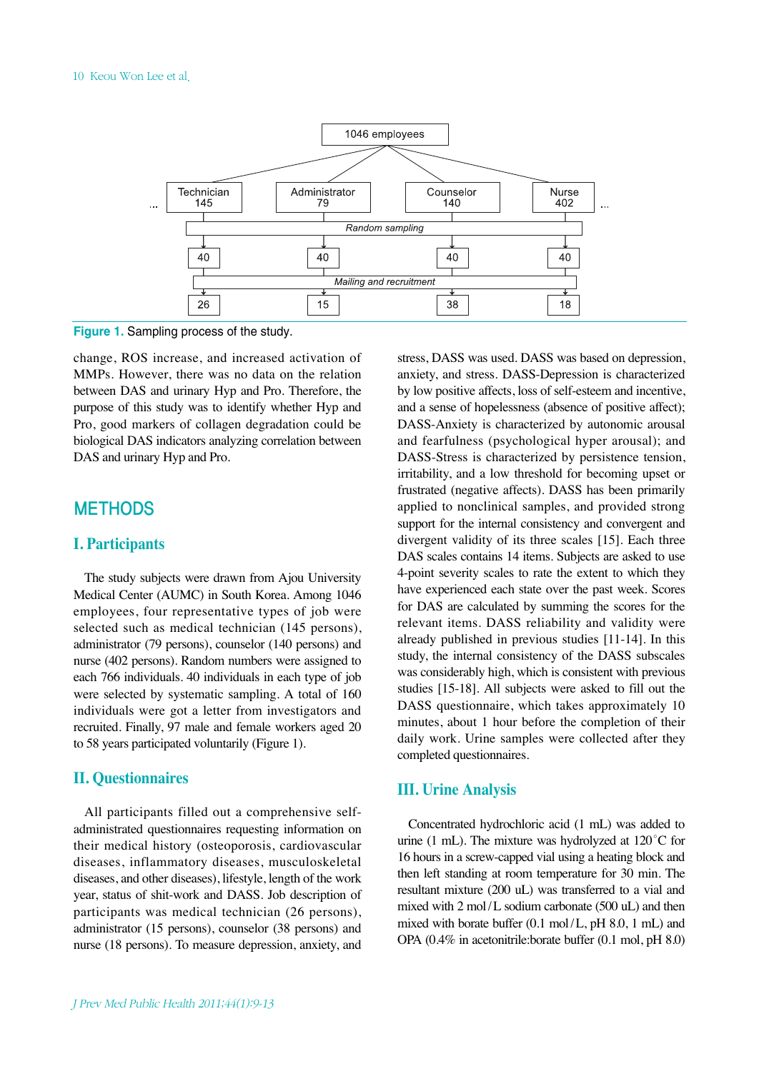

**Figure 1.** Sampling process of the study.

change, ROS increase, and increased activation of MMPs. However, there was no data on the relation between DAS and urinary Hyp and Pro. Therefore, the purpose of this study was to identify whether Hyp and Pro, good markers of collagen degradation could be biological DAS indicators analyzing correlation between DAS and urinary Hyp and Pro.

### **METHODS**

#### **I. Participants**

The study subjects were drawn from Ajou University Medical Center (AUMC) in South Korea. Among 1046 employees, four representative types of job were selected such as medical technician (145 persons), administrator (79 persons), counselor (140 persons) and nurse (402 persons). Random numbers were assigned to each 766 individuals. 40 individuals in each type of job were selected by systematic sampling. A total of 160 individuals were got a letter from investigators and recruited. Finally, 97 male and female workers aged 20 to 58 years participated voluntarily (Figure 1).

#### **II. Questionnaires**

All participants filled out a comprehensive selfadministrated questionnaires requesting information on their medical history (osteoporosis, cardiovascular diseases, inflammatory diseases, musculoskeletal diseases, and other diseases), lifestyle, length of the work year, status of shit-work and DASS. Job description of participants was medical technician (26 persons), administrator (15 persons), counselor (38 persons) and nurse (18 persons). To measure depression, anxiety, and anxiety, and stress. DASS-Depression is characterized by low positive affects, loss of self-esteem and incentive, and a sense of hopelessness (absence of positive affect); DASS-Anxiety is characterized by autonomic arousal and fearfulness (psychological hyper arousal); and DASS-Stress is characterized by persistence tension, irritability, and a low threshold for becoming upset or frustrated (negative affects). DASS has been primarily applied to nonclinical samples, and provided strong support for the internal consistency and convergent and divergent validity of its three scales [15]. Each three DAS scales contains 14 items. Subjects are asked to use 4-point severity scales to rate the extent to which they have experienced each state over the past week. Scores for DAS are calculated by summing the scores for the relevant items. DASS reliability and validity were already published in previous studies [11-14]. In this study, the internal consistency of the DASS subscales was considerably high, which is consistent with previous studies [15-18]. All subjects were asked to fill out the DASS questionnaire, which takes approximately 10 minutes, about 1 hour before the completion of their daily work. Urine samples were collected after they completed questionnaires.

stress, DASS was used. DASS was based on depression,

#### **III. Urine Analysis**

Concentrated hydrochloric acid (1 mL) was added to urine (1 mL). The mixture was hydrolyzed at 120°C for 16 hours in a screw-capped vial using a heating block and then left standing at room temperature for 30 min. The resultant mixture (200 uL) was transferred to a vial and mixed with 2 mol/L sodium carbonate (500 uL) and then mixed with borate buffer (0.1 mol/L, pH 8.0, 1 mL) and OPA (0.4% in acetonitrile:borate buffer (0.1 mol, pH 8.0)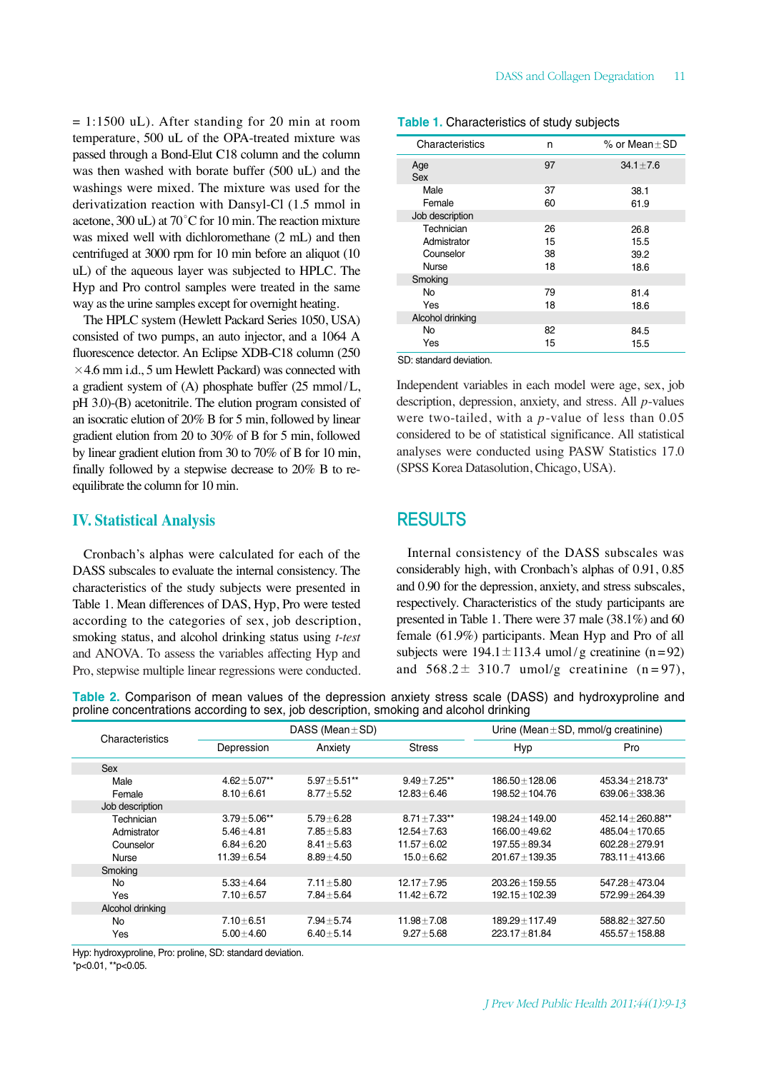$= 1:1500$  uL). After standing for 20 min at room temperature, 500 uL of the OPA-treated mixture was passed through a Bond-Elut C18 column and the column was then washed with borate buffer (500 uL) and the washings were mixed. The mixture was used for the derivatization reaction with Dansyl-Cl (1.5 mmol in acetone, 300 uL) at 70°C for 10 min. The reaction mixture was mixed well with dichloromethane (2 mL) and then centrifuged at 3000 rpm for 10 min before an aliquot (10 uL) of the aqueous layer was subjected to HPLC. The Hyp and Pro control samples were treated in the same way as the urine samples except for overnight heating.

The HPLC system (Hewlett Packard Series 1050, USA) consisted of two pumps, an auto injector, and a 1064 A fluorescence detector. An Eclipse XDB-C18 column (250  $\times$  4.6 mm i.d., 5 um Hewlett Packard) was connected with a gradient system of (A) phosphate buffer (25 mmol/L, pH 3.0)-(B) acetonitrile. The elution program consisted of an isocratic elution of 20% B for 5 min, followed by linear gradient elution from 20 to 30% of B for 5 min, followed by linear gradient elution from 30 to 70% of B for 10 min, finally followed by a stepwise decrease to 20% B to reequilibrate the column for 10 min.

#### **IV. Statistical Analysis**

Cronbach's alphas were calculated for each of the DASS subscales to evaluate the internal consistency. The characteristics of the study subjects were presented in Table 1. Mean differences of DAS, Hyp, Pro were tested according to the categories of sex, job description, smoking status, and alcohol drinking status using *t-test* and ANOVA. To assess the variables affecting Hyp and Pro, stepwise multiple linear regressions were conducted.

| Characteristics  | n  | $%$ or Mean + SD |  |
|------------------|----|------------------|--|
| Age              | 97 | $34.1 + 7.6$     |  |
| Sex              |    |                  |  |
| Male             | 37 | 38.1             |  |
| Female           | 60 | 61.9             |  |
| Job description  |    |                  |  |
| Technician       | 26 | 26.8             |  |
| Admistrator      | 15 | 15.5             |  |
| Counselor        | 38 | 39.2             |  |
| <b>Nurse</b>     | 18 | 18.6             |  |
| Smoking          |    |                  |  |
| <b>No</b>        | 79 | 81.4             |  |
| Yes              | 18 | 18.6             |  |
| Alcohol drinking |    |                  |  |

82 15 84.5 15.5

**Table 1.** Characteristics of study subjects

SD: standard deviation.

No Yes

Independent variables in each model were age, sex, job description, depression, anxiety, and stress. All *p*-values were two-tailed, with a *p*-value of less than 0.05 considered to be of statistical significance. All statistical analyses were conducted using PASW Statistics 17.0 (SPSS Korea Datasolution, Chicago, USA).

### RESULTS

Internal consistency of the DASS subscales was considerably high, with Cronbach's alphas of 0.91, 0.85 and 0.90 for the depression, anxiety, and stress subscales, respectively. Characteristics of the study participants are presented in Table 1. There were 37 male (38.1%) and 60 female (61.9%) participants. Mean Hyp and Pro of all subjects were  $194.1 \pm 113.4$  umol/g creatinine (n=92) and  $568.2 \pm 310.7$  umol/g creatinine  $(n=97)$ ,

**Table 2.** Comparison of mean values of the depression anxiety stress scale (DASS) and hydroxyproline and proline concentrations according to sex, job description, smoking and alcohol drinking

| Characteristics  |                   | DASS (Mean $\pm$ SD) |                  |                        | Urine (Mean $\pm$ SD, mmol/g creatinine) |  |
|------------------|-------------------|----------------------|------------------|------------------------|------------------------------------------|--|
|                  | Depression        | Anxiety              | <b>Stress</b>    | Hyp                    | Pro                                      |  |
| Sex              |                   |                      |                  |                        |                                          |  |
| Male             | $4.62 + 5.07**$   | $5.97 + 5.51**$      | $9.49 + 7.25**$  | 186.50 ± 128.06        | $453.34 + 218.73*$                       |  |
| Female           | $8.10 + 6.61$     | $8.77 + 5.52$        | $12.83 + 6.46$   | 198.52+104.76          | $639.06 + 338.36$                        |  |
| Job description  |                   |                      |                  |                        |                                          |  |
| Technician       | $3.79 \pm 5.06**$ | $5.79 + 6.28$        | $8.71 + 7.33**$  | $198.24 + 149.00$      | 452.14 ± 260.88**                        |  |
| Admistrator      | $5.46 + 4.81$     | $7.85 + 5.83$        | $12.54 + 7.63$   | 166.00+49.62           | $485.04 + 170.65$                        |  |
| Counselor        | $6.84 + 6.20$     | $8.41 + 5.63$        | $11.57 + 6.02$   | $197.55 \!\pm\! 89.34$ | $602.28 + 279.91$                        |  |
| Nurse            | $11.39 \pm 6.54$  | $8.89 + 4.50$        | $15.0 \pm 6.62$  | $201.67 + 139.35$      | 783.11±413.66                            |  |
| Smoking          |                   |                      |                  |                        |                                          |  |
| No               | $5.33 + 4.64$     | $7.11 + 5.80$        | $12.17 + 7.95$   | $203.26 + 159.55$      | $547.28 + 473.04$                        |  |
| Yes              | $7.10 + 6.57$     | $7.84 \pm 5.64$      | $11.42 + 6.72$   | 192.15±102.39          | $572.99 \pm 264.39$                      |  |
| Alcohol drinking |                   |                      |                  |                        |                                          |  |
| <b>No</b>        | $7.10 + 6.51$     | $7.94 + 5.74$        | $11.98 \pm 7.08$ | $189.29 + 117.49$      | 588.82 ± 327.50                          |  |
| Yes              | $5.00 + 4.60$     | $6.40 + 5.14$        | $9.27 \pm 5.68$  | $223.17 \pm 81.84$     | $455.57 \pm 158.88$                      |  |

Hyp: hydroxyproline, Pro: proline, SD: standard deviation.

\*p<0.01, \*\*p<0.05.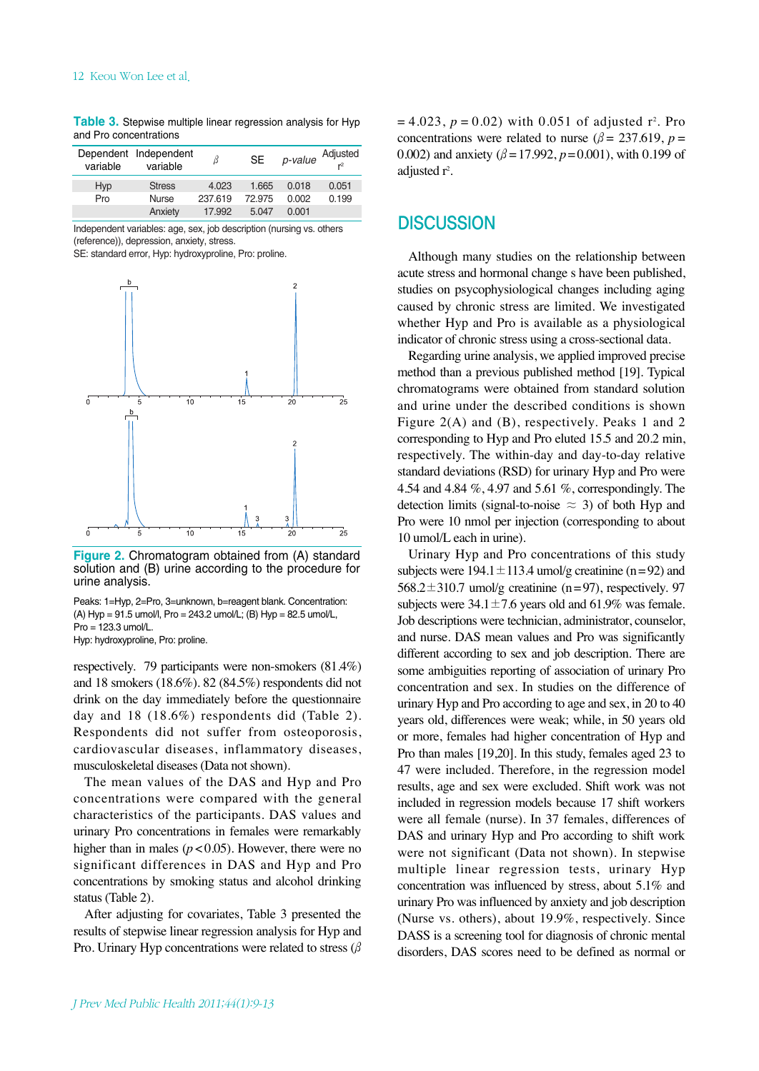**Table 3.** Stepwise multiple linear regression analysis for Hyp and Pro concentrations

| variable | Dependent Independent<br>variable | β       | <b>SE</b> | p-value | Adjusted |
|----------|-----------------------------------|---------|-----------|---------|----------|
| Hyp      | <b>Stress</b>                     | 4.023   | 1.665     | 0.018   | 0.051    |
| Pro      | <b>Nurse</b>                      | 237.619 | 72.975    | 0.002   | 0.199    |
|          | Anxiety                           | 17.992  | 5.047     | 0.001   |          |

Independent variables: age, sex, job description (nursing vs. others (reference)), depression, anxiety, stress.

SE: standard error, Hyp: hydroxyproline, Pro: proline.



**Figure 2.** Chromatogram obtained from (A) standard solution and (B) urine according to the procedure for urine analysis.

Peaks: 1=Hyp, 2=Pro, 3=unknown, b=reagent blank. Concentration: (A) Hyp = 91.5 umol/l, Pro = 243.2 umol/L; (B) Hyp = 82.5 umol/L, Pro = 123.3 umol/L.

Hyp: hydroxyproline, Pro: proline.

respectively. 79 participants were non-smokers (81.4%) and 18 smokers (18.6%). 82 (84.5%) respondents did not drink on the day immediately before the questionnaire day and 18 (18.6%) respondents did (Table 2). Respondents did not suffer from osteoporosis, cardiovascular diseases, inflammatory diseases, musculoskeletal diseases (Data not shown).

The mean values of the DAS and Hyp and Pro concentrations were compared with the general characteristics of the participants. DAS values and urinary Pro concentrations in females were remarkably higher than in males  $(p < 0.05)$ . However, there were no significant differences in DAS and Hyp and Pro concentrations by smoking status and alcohol drinking status (Table 2).

After adjusting for covariates, Table 3 presented the results of stepwise linear regression analysis for Hyp and Pro. Urinary Hyp concentrations were related to stress ( $\beta$ )

 $= 4.023, p = 0.02$ ) with 0.051 of adjusted r<sup>2</sup>. Pro concentrations were related to nurse ( $\beta$  = 237.619, *p* = 0.002) and anxiety ( $\beta$  = 17.992,  $p$  = 0.001), with 0.199 of adjusted r<sup>2</sup>.

### **DISCUSSION**

Although many studies on the relationship between acute stress and hormonal change s have been published, studies on psycophysiological changes including aging caused by chronic stress are limited. We investigated whether Hyp and Pro is available as a physiological indicator of chronic stress using a cross-sectional data.

Regarding urine analysis, we applied improved precise method than a previous published method [19]. Typical chromatograms were obtained from standard solution and urine under the described conditions is shown Figure 2(A) and (B), respectively. Peaks 1 and 2 corresponding to Hyp and Pro eluted 15.5 and 20.2 min, respectively. The within-day and day-to-day relative standard deviations (RSD) for urinary Hyp and Pro were 4.54 and 4.84 %, 4.97 and 5.61 %, correspondingly. The detection limits (signal-to-noise  $\approx$  3) of both Hyp and Pro were 10 nmol per injection (corresponding to about 10 umol/L each in urine).

Urinary Hyp and Pro concentrations of this study subjects were  $194.1 \pm 113.4$  umol/g creatinine (n=92) and 568.2 $\pm$ 310.7 umol/g creatinine (n=97), respectively. 97 subjects were  $34.1 \pm 7.6$  years old and  $61.9\%$  was female. Job descriptions were technician, administrator, counselor, and nurse. DAS mean values and Pro was significantly different according to sex and job description. There are some ambiguities reporting of association of urinary Pro concentration and sex. In studies on the difference of urinary Hyp and Pro according to age and sex, in 20 to 40 years old, differences were weak; while, in 50 years old or more, females had higher concentration of Hyp and Pro than males [19,20]. In this study, females aged 23 to 47 were included. Therefore, in the regression model results, age and sex were excluded. Shift work was not included in regression models because 17 shift workers were all female (nurse). In 37 females, differences of DAS and urinary Hyp and Pro according to shift work were not significant (Data not shown). In stepwise multiple linear regression tests, urinary Hyp concentration was influenced by stress, about 5.1% and urinary Pro was influenced by anxiety and job description (Nurse vs. others), about 19.9%, respectively. Since DASS is a screening tool for diagnosis of chronic mental disorders, DAS scores need to be defined as normal or